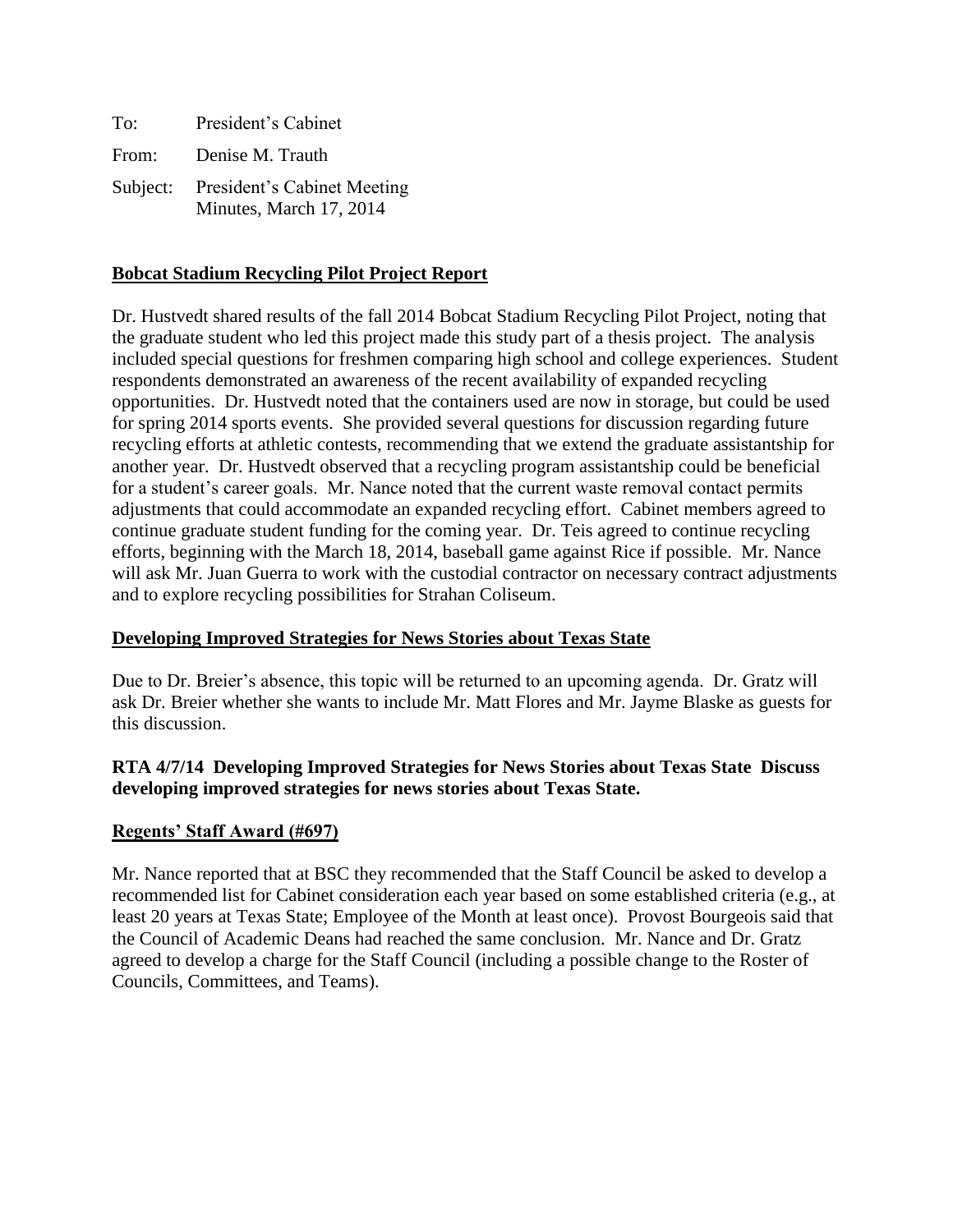| To:   | President's Cabinet                                             |
|-------|-----------------------------------------------------------------|
| From: | Denise M. Trauth                                                |
|       | Subject: President's Cabinet Meeting<br>Minutes, March 17, 2014 |

### **Bobcat Stadium Recycling Pilot Project Report**

Dr. Hustvedt shared results of the fall 2014 Bobcat Stadium Recycling Pilot Project, noting that the graduate student who led this project made this study part of a thesis project. The analysis included special questions for freshmen comparing high school and college experiences. Student respondents demonstrated an awareness of the recent availability of expanded recycling opportunities. Dr. Hustvedt noted that the containers used are now in storage, but could be used for spring 2014 sports events. She provided several questions for discussion regarding future recycling efforts at athletic contests, recommending that we extend the graduate assistantship for another year. Dr. Hustvedt observed that a recycling program assistantship could be beneficial for a student's career goals. Mr. Nance noted that the current waste removal contact permits adjustments that could accommodate an expanded recycling effort. Cabinet members agreed to continue graduate student funding for the coming year. Dr. Teis agreed to continue recycling efforts, beginning with the March 18, 2014, baseball game against Rice if possible. Mr. Nance will ask Mr. Juan Guerra to work with the custodial contractor on necessary contract adjustments and to explore recycling possibilities for Strahan Coliseum.

#### **Developing Improved Strategies for News Stories about Texas State**

Due to Dr. Breier's absence, this topic will be returned to an upcoming agenda. Dr. Gratz will ask Dr. Breier whether she wants to include Mr. Matt Flores and Mr. Jayme Blaske as guests for this discussion.

### **RTA 4/7/14 Developing Improved Strategies for News Stories about Texas State Discuss developing improved strategies for news stories about Texas State.**

# **Regents' Staff Award (#697)**

Mr. Nance reported that at BSC they recommended that the Staff Council be asked to develop a recommended list for Cabinet consideration each year based on some established criteria (e.g., at least 20 years at Texas State; Employee of the Month at least once). Provost Bourgeois said that the Council of Academic Deans had reached the same conclusion. Mr. Nance and Dr. Gratz agreed to develop a charge for the Staff Council (including a possible change to the Roster of Councils, Committees, and Teams).